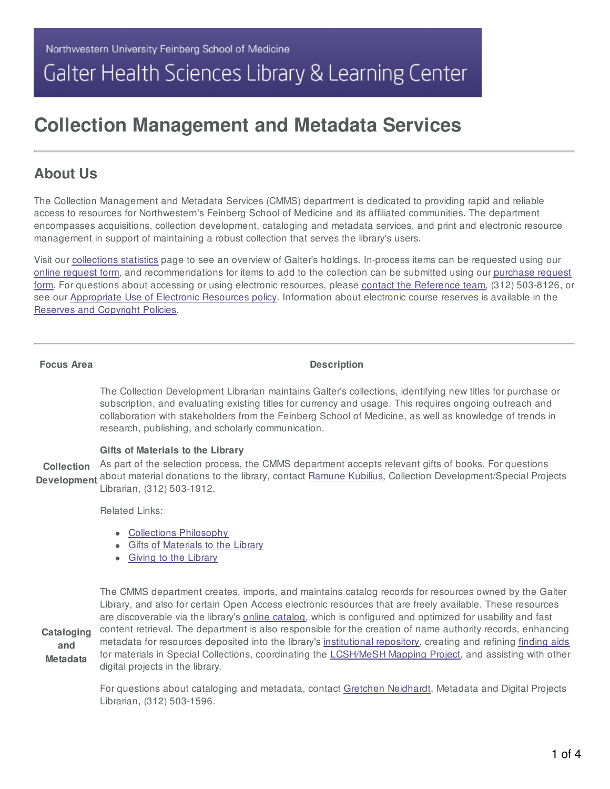# Galter Health Sciences Library & Learning Center

# **Collection Management and Metadata Services**

# **About Us**

The Collection Management and Metadata Services (CMMS) department is dedicated to providing rapid and reliable access to resources for Northwestern's Feinberg School of Medicine and its affiliated communities. The department encompasses acquisitions, collection development, cataloging and metadata services, and print and electronic resource management in support of maintaining a robust collection that serves the library's users.

Visit our [collections](https://galter.northwestern.edu/about/Collection-Statistics) statistics page to see an overview of Galter's holdings. In-process items can be requested using our online [request](https://galter.northwestern.edu/about/request-in-process-item) form, and [recommendations](https://galter.northwestern.edu/about/purchase-requests) for items to add to the collection can be submitted using our purchase request form. For questions about accessing or using electronic resources, please contact the [Reference](https://galter.northwestern.edu/contact/Galter/Reference) team, (312) 503-8126, or see our [Appropriate](https://galter.northwestern.edu/about/appropriate-use-of-electronic-resources) Use of Electronic Resources policy. Information about electronic course reserves is available in the Reserves and [Copyright](https://galter.northwestern.edu/request-services-and-materials/reserves-copyright-policies) Policies.

**Focus Area Description**

The Collection Development Librarian maintains Galter's collections, identifying new titles for purchase or subscription, and evaluating existing titles for currency and usage. This requires ongoing outreach and collaboration with stakeholders from the Feinberg School of Medicine, as well as knowledge of trends in research, publishing, and scholarly communication.

#### **Gifts of Materials to the Library**

**Collection Development** about material donations to the library, contact **[Ramune](https://galter.northwestern.edumailto:r-kubilius@northwestern.edu) Kubilius**, Collection Development/Special Projects As part of the selection process, the CMMS department accepts relevant gifts of books. For questions Librarian, (312) 503-1912.

Related Links:

- Collections [Philosophy](https://galter.northwestern.edu/about/collections-philosophy)
- **Gifts of [Materials](https://galter.northwestern.edu/about/gifts-to-the-library) to the Library**
- Giving to the [Library](https://galter.northwestern.edu/about-us/donate)

**Cataloging and Metadata** The CMMS department creates, imports, and maintains catalog records for resources owned by the Galter Library, and also for certain Open Access electronic resources that are freely available. These resources are discoverable via the library's online [catalog,](https://search.library.northwestern.edu/discovery/search?vid=01NWU_INST:HSLV&lang=en) which is configured and optimized for usability and fast content retrieval. The department is also responsible for the creation of name authority records, enhancing metadata for resources deposited into the library's [institutional](https://digitalhub.northwestern.edu/) repository, creating and refining [finding](https://findingaids.library.northwestern.edu/) aids for materials in Special Collections, coordinating the [LCSH/MeSH](https://galter.northwestern.edu/find,-borrow,-request/northwestern-university-libraries-lcsh-mesh-mapping-project) Mapping Project, and assisting with other digital projects in the library.

> For questions about cataloging and metadata, contact Gretchen [Neidhardt](https://galter.northwestern.edumailto:gretchen.neidhardt@northwestern.edu), Metadata and Digital Projects Librarian, (312) 503-1596.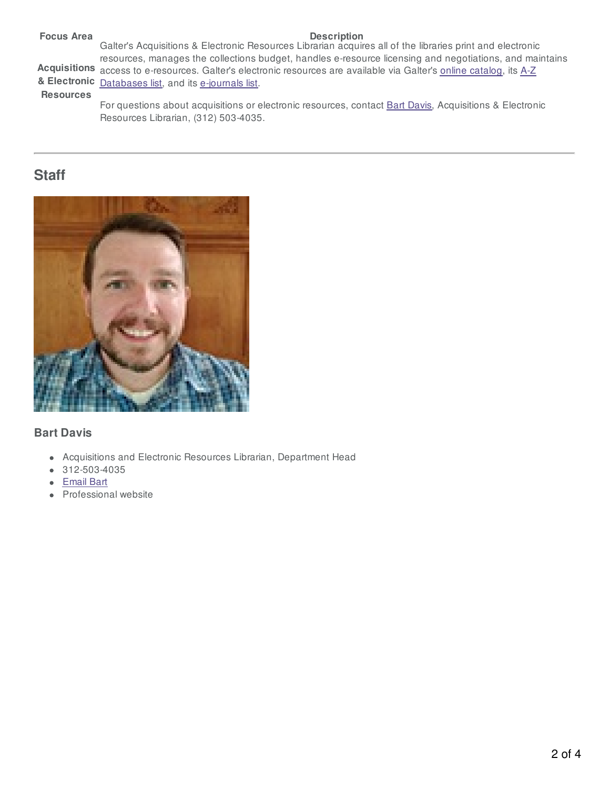| <b>Focus Area</b> | <b>Description</b>                                                                                                   |
|-------------------|----------------------------------------------------------------------------------------------------------------------|
|                   | Galter's Acquisitions & Electronic Resources Librarian acquires all of the libraries print and electronic            |
|                   | resources, manages the collections budget, handles e-resource licensing and negotiations, and maintains              |
|                   | Acquisitions access to e-resources. Galter's electronic resources are available via Galter's online catalog, its A-Z |
|                   | & Electronic Databases list, and its e-journals list.                                                                |
| <b>Resources</b>  |                                                                                                                      |
|                   | For questions about acquisitions or electronic resources, contact Bart Davis, Acquisitions & Electronic              |
|                   | Resources Librarian, (312) 503-4035.                                                                                 |

# **Staff**



# **Bart Davis**

- Acquisitions and Electronic Resources Librarian, Department Head
- $\bullet$  312-503-4035
- [Email](https://galter.northwestern.edumailto:bart.davis@northwestern.edu) Bart
- Professional website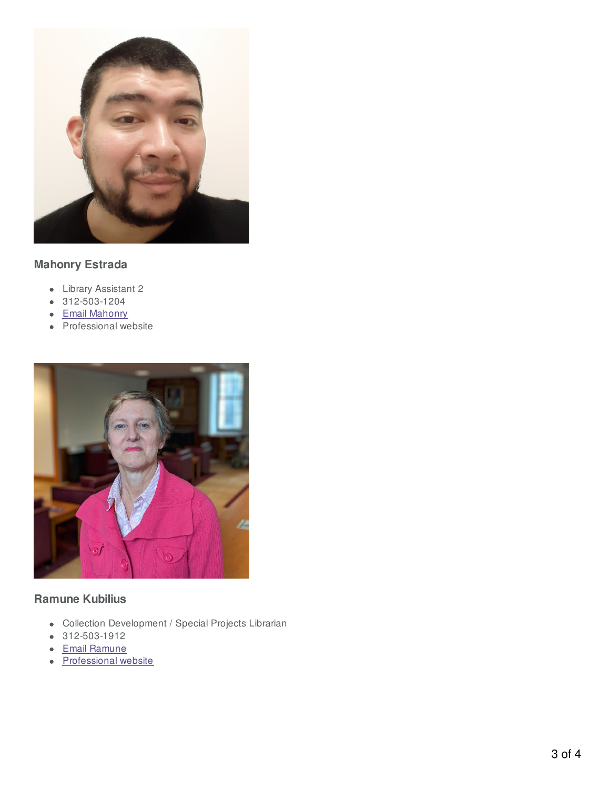

## **Mahonry Estrada**

- Library Assistant 2
- 312-503-1204
- Email [Mahonry](https://galter.northwestern.edumailto:mahonry.estrada@northwestern.edu)
- Professional website



### **Ramune Kubilius**

- Collection Development / Special Projects Librarian
- 312-503-1912
- Email [Ramune](https://galter.northwestern.edumailto:r-kubilius@northwestern.edu)
- [Professional](https://galter.northwestern.edu/about-us/ramune-kubilius) website